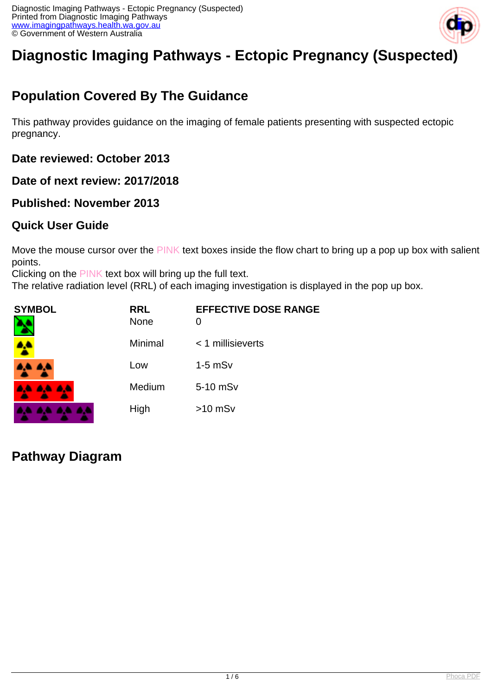

# **Diagnostic Imaging Pathways - Ectopic Pregnancy (Suspected)**

## **Population Covered By The Guidance**

This pathway provides guidance on the imaging of female patients presenting with suspected ectopic pregnancy.

**Date reviewed: October 2013**

**Date of next review: 2017/2018**

#### **Published: November 2013**

#### **Quick User Guide**

Move the mouse cursor over the PINK text boxes inside the flow chart to bring up a pop up box with salient points.

Clicking on the PINK text box will bring up the full text.

The relative radiation level (RRL) of each imaging investigation is displayed in the pop up box.

| SYMBOL   | <b>RRL</b><br><b>None</b> | <b>EFFECTIVE DOSE RANGE</b> |
|----------|---------------------------|-----------------------------|
| 4        | Minimal                   | $<$ 1 millisieverts         |
| 4,4 4,4  | Low                       | $1-5$ mSv                   |
| AA AA AA | Medium                    | 5-10 mSv                    |
|          | High                      | $>10$ mSv                   |

**Pathway Diagram**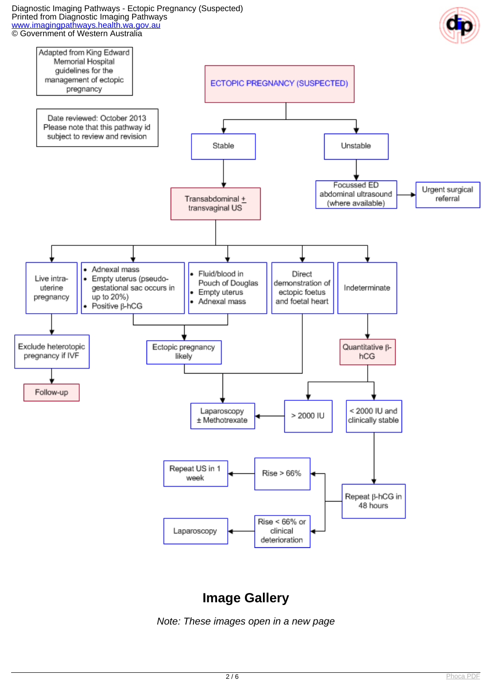Diagnostic Imaging Pathways - Ectopic Pregnancy (Suspected) Printed from Diagnostic Imaging Pathways [www.imagingpathways.health.wa.gov.au](http://www.imagingpathways.health.wa.gov.au/) © Government of Western Australia





## **Image Gallery**

Note: These images open in a new page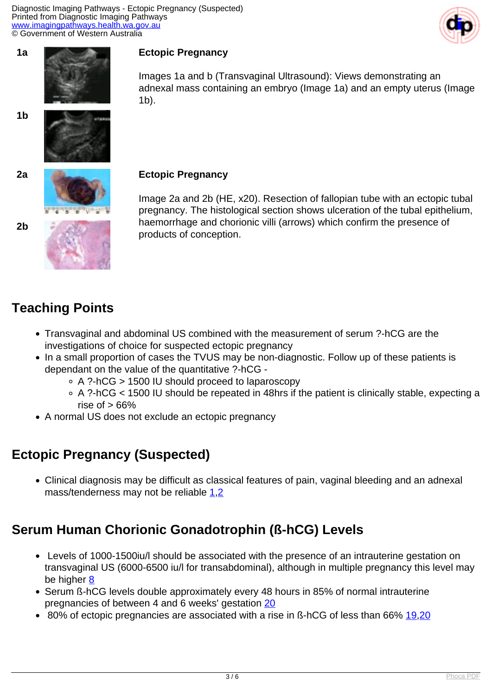







**2b**

#### adnexal mass containing an embryo (Image 1a) and an empty uterus (Image 1b).

Image 2a and 2b (HE, x20). Resection of fallopian tube with an ectopic tubal pregnancy. The histological section shows ulceration of the tubal epithelium, haemorrhage and chorionic villi (arrows) which confirm the presence of products of conception.

Images 1a and b (Transvaginal Ultrasound): Views demonstrating an

## **Teaching Points**

- Transvaginal and abdominal US combined with the measurement of serum ?-hCG are the investigations of choice for suspected ectopic pregnancy
- In a small proportion of cases the TVUS may be non-diagnostic. Follow up of these patients is dependant on the value of the quantitative ?-hCG -
	- A ?-hCG > 1500 IU should proceed to laparoscopy
	- A ?-hCG < 1500 IU should be repeated in 48hrs if the patient is clinically stable, expecting a rise of  $> 66\%$
- A normal US does not exclude an ectopic pregnancy

## **Ectopic Pregnancy (Suspected)**

Clinical diagnosis may be difficult as classical features of pain, vaginal bleeding and an adnexal mass/tenderness may not be reliable [1](index.php/imaging-pathways/obstetric-gynaecological/suspected-ectopic-pregnancy?tab=references#1),[2](index.php/imaging-pathways/obstetric-gynaecological/suspected-ectopic-pregnancy?tab=references#2)

## **Serum Human Chorionic Gonadotrophin (ß-hCG) Levels**

- Levels of 1000-1500iu/l should be associated with the presence of an intrauterine gestation on transvaginal US (6000-6500 iu/l for transabdominal), although in multiple pregnancy this level may be higher [8](index.php/imaging-pathways/obstetric-gynaecological/suspected-ectopic-pregnancy?tab=references#8)
- Serum ß-hCG levels double approximately every 48 hours in 85% of normal intrauterine pregnancies of between 4 and 6 weeks' gestation [20](index.php/imaging-pathways/obstetric-gynaecological/suspected-ectopic-pregnancy?tab=references#20)
- 80% of ectopic pregnancies are associated with a rise in ß-hCG of less than 66% [19](index.php/imaging-pathways/obstetric-gynaecological/suspected-ectopic-pregnancy?tab=references#19).[20](index.php/imaging-pathways/obstetric-gynaecological/suspected-ectopic-pregnancy?tab=references#)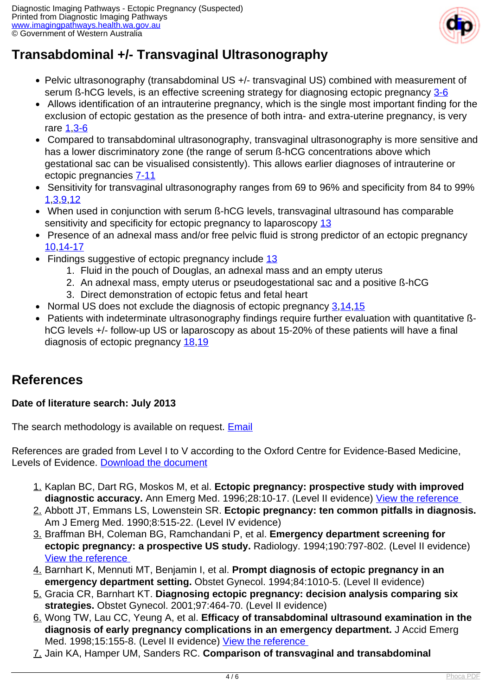

## **Transabdominal +/- Transvaginal Ultrasonography**

- Pelvic ultrasonography (transabdominal US +/- transvaginal US) combined with measurement of serum ß-hCG levels, is an effective screening strategy for diagnosing ectopic pregnancy [3-6](index.php/imaging-pathways/obstetric-gynaecological/suspected-ectopic-pregnancy?tab=references#3)
- Allows identification of an intrauterine pregnancy, which is the single most important finding for the exclusion of ectopic gestation as the presence of both intra- and extra-uterine pregnancy, is very rare [1,](index.php/imaging-pathways/obstetric-gynaecological/suspected-ectopic-pregnancy?tab=references#1)[3-6](index.php/imaging-pathways/obstetric-gynaecological/suspected-ectopic-pregnancy?tab=references#3)
- Compared to transabdominal ultrasonography, transvaginal ultrasonography is more sensitive and has a lower discriminatory zone (the range of serum ß-hCG concentrations above which gestational sac can be visualised consistently). This allows earlier diagnoses of intrauterine or ectopic pregnancies [7-11](index.php/imaging-pathways/obstetric-gynaecological/suspected-ectopic-pregnancy?tab=references#7)
- Sensitivity for transvaginal ultrasonography ranges from 69 to 96% and specificity from 84 to 99% [1](index.php/imaging-pathways/obstetric-gynaecological/suspected-ectopic-pregnancy?tab=references#1)[,3](index.php/imaging-pathways/obstetric-gynaecological/suspected-ectopic-pregnancy?tab=references#3)[,9](index.php/imaging-pathways/obstetric-gynaecological/suspected-ectopic-pregnancy?tab=references#9)[,12](index.php/imaging-pathways/obstetric-gynaecological/suspected-ectopic-pregnancy?tab=references#12)
- When used in conjunction with serum ß-hCG levels, transvaginal ultrasound has comparable sensitivity and specificity for ectopic pregnancy to laparoscopy [13](index.php/imaging-pathways/obstetric-gynaecological/suspected-ectopic-pregnancy?tab=references#13)
- Presence of an adnexal mass and/or free pelvic fluid is strong predictor of an ectopic pregnancy [10,](index.php/imaging-pathways/obstetric-gynaecological/suspected-ectopic-pregnancy?tab=references#10)[14-17](index.php/imaging-pathways/obstetric-gynaecological/suspected-ectopic-pregnancy?tab=references#14)
- Findings suggestive of ectopic pregnancy include [13](index.php/imaging-pathways/obstetric-gynaecological/suspected-ectopic-pregnancy?tab=references#13)
	- 1. Fluid in the pouch of Douglas, an adnexal mass and an empty uterus
	- 2. An adnexal mass, empty uterus or pseudogestational sac and a positive ß-hCG
	- 3. Direct demonstration of ectopic fetus and fetal heart
- Normal US does not exclude the diagnosis of ectopic pregnancy [3](index.php/imaging-pathways/obstetric-gynaecological/suspected-ectopic-pregnancy?tab=references#3),[14](index.php/imaging-pathways/obstetric-gynaecological/suspected-ectopic-pregnancy?tab=references#14)[,15](index.php/imaging-pathways/obstetric-gynaecological/suspected-ectopic-pregnancy?tab=references#15)
- Patients with indeterminate ultrasonography findings require further evaluation with quantitative ßhCG levels +/- follow-up US or laparoscopy as about 15-20% of these patients will have a final diagnosis of ectopic pregnancy [18,](index.php/imaging-pathways/obstetric-gynaecological/suspected-ectopic-pregnancy?tab=references#18)[19](index.php/imaging-pathways/obstetric-gynaecological/suspected-ectopic-pregnancy?tab=references#19)

## **References**

#### **Date of literature search: July 2013**

The search methodology is available on request. **[Email](index.php/contact-us)** 

References are graded from Level I to V according to the Oxford Centre for Evidence-Based Medicine, Levels of Evidence. [Download the document](http://www.cebm.net/wp-content/uploads/2014/06/CEBM-Levels-of-Evidence-2.1.pdf)

- 1. Kaplan BC, Dart RG, Moskos M, et al. **Ectopic pregnancy: prospective study with improved** diagnostic accuracy. Ann Emerg Med. 1996;28:10-17. (Level II evidence) View the reference
- 2. Abbott JT, Emmans LS, Lowenstein SR. **Ectopic pregnancy: ten common pitfalls in diagnosis.** Am J Emerg Med. 1990;8:515-22. (Level IV evidence)
- 3. Braffman BH, Coleman BG, Ramchandani P, et al. **Emergency department screening for ectopic pregnancy: a prospective US study.** Radiology. 1994;190:797-802. (Level II evidence) [View the reference](http://www.ncbi.nlm.nih.gov/entrez/query.fcgi?orig_db=PubMed&db=PubMed&cmd=Search&defaultField=Title+Word&term=Emergency+department+screening+for+ectopic+pregnancy%3A+a+prospective+US+study)
- 4. Barnhart K, Mennuti MT, Benjamin I, et al. **Prompt diagnosis of ectopic pregnancy in an emergency department setting.** Obstet Gynecol. 1994;84:1010-5. (Level II evidence)
- 5. Gracia CR, Barnhart KT. **Diagnosing ectopic pregnancy: decision analysis comparing six strategies.** Obstet Gynecol. 2001;97:464-70. (Level II evidence)
- 6. Wong TW, Lau CC, Yeung A, et al. **Efficacy of transabdominal ultrasound examination in the diagnosis of early pregnancy complications in an emergency department.** J Accid Emerg Med. 1998;15:155-8. (Level II evidence) View the reference
- 7. Jain KA, Hamper UM, Sanders RC. **Comparison of transvaginal and transabdominal**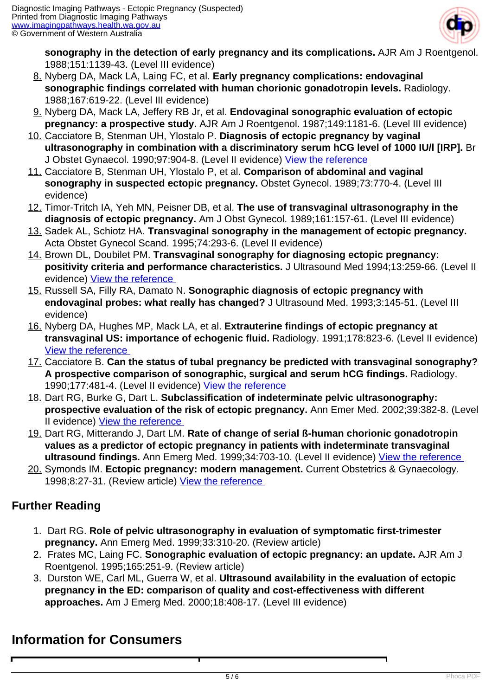

**sonography in the detection of early pregnancy and its complications.** AJR Am J Roentgenol. 1988;151:1139-43. (Level III evidence)

- 8. Nyberg DA, Mack LA, Laing FC, et al. **Early pregnancy complications: endovaginal sonographic findings correlated with human chorionic gonadotropin levels.** Radiology. 1988;167:619-22. (Level III evidence)
- 9. Nyberg DA, Mack LA, Jeffery RB Jr, et al. **Endovaginal sonographic evaluation of ectopic pregnancy: a prospective study.** AJR Am J Roentgenol. 1987;149:1181-6. (Level III evidence)
- 10. Cacciatore B, Stenman UH, Ylostalo P. **Diagnosis of ectopic pregnancy by vaginal ultrasonography in combination with a discriminatory serum hCG level of 1000 IU/l [IRP].** Br J Obstet Gynaecol. 1990;97:904-8. (Level II evidence) [View the reference](http://www.ncbi.nlm.nih.gov/entrez/query.fcgi?cmd=Retrieve&db=pubmed&dopt=Abstract&list_uids=2223681)
- 11. Cacciatore B, Stenman UH, Ylostalo P, et al. **Comparison of abdominal and vaginal sonography in suspected ectopic pregnancy.** Obstet Gynecol. 1989;73:770-4. (Level III evidence)
- 12. Timor-Tritch IA, Yeh MN, Peisner DB, et al. **The use of transvaginal ultrasonography in the diagnosis of ectopic pregnancy.** Am J Obst Gynecol. 1989;161:157-61. (Level III evidence)
- 13. Sadek AL, Schiotz HA. **Transvaginal sonography in the management of ectopic pregnancy.** Acta Obstet Gynecol Scand. 1995;74:293-6. (Level II evidence)
- 14. Brown DL, Doubilet PM. **Transvaginal sonography for diagnosing ectopic pregnancy: positivity criteria and performance characteristics.** J Ultrasound Med 1994;13:259-66. (Level II evidence) [View the reference](http://www.ncbi.nlm.nih.gov/entrez/query.fcgi?cmd=Retrieve&db=pubmed&dopt=Abstract&list_uids=7932989)
- 15. Russell SA, Filly RA, Damato N. **Sonographic diagnosis of ectopic pregnancy with endovaginal probes: what really has changed?** J Ultrasound Med. 1993;3:145-51. (Level III evidence)
- 16. Nyberg DA, Hughes MP, Mack LA, et al. **Extrauterine findings of ectopic pregnancy at transvaginal US: importance of echogenic fluid.** Radiology. 1991;178:823-6. (Level II evidence) [View the reference](http://www.ncbi.nlm.nih.gov/entrez/query.fcgi?cmd=Retrieve&db=pubmed&dopt=Abstract&list_uids=1994425)
- 17. Cacciatore B. **Can the status of tubal pregnancy be predicted with transvaginal sonography? A prospective comparison of sonographic, surgical and serum hCG findings.** Radiology. 1990;177:481-4. (Level II evidence) [View the reference](http://www.ncbi.nlm.nih.gov/entrez/query.fcgi?orig_db=PubMed&db=PubMed&cmd=Search&defaultField=Title+Word&term=.+Can+the+status+of+tubal+pregnancy+be+predicted+with+transvaginal+sonography%3F+A+prospective+comparison+of+sonographic%2C+surgical+and+serum+hCG+findings)
- 18. Dart RG, Burke G, Dart L. **Subclassification of indeterminate pelvic ultrasonography: prospective evaluation of the risk of ectopic pregnancy.** Ann Emer Med. 2002;39:382-8. (Level II evidence) [View the reference](http://www.ncbi.nlm.nih.gov/entrez/query.fcgi?cmd=Retrieve&db=pubmed&dopt=Abstract&list_uids=11919524)
- 19. Dart RG, Mitterando J, Dart LM. **Rate of change of serial ß-human chorionic gonadotropin values as a predictor of ectopic pregnancy in patients with indeterminate transvaginal ultrasound findings.** Ann Emerg Med. 1999;34:703-10. (Level II evidence) [View the reference](http://www.ncbi.nlm.nih.gov/entrez/query.fcgi?cmd=Retrieve&db=pubmed&dopt=Abstract&list_uids=10577398)
- 20. Symonds IM. **Ectopic pregnancy: modern management.** Current Obstetrics & Gynaecology. 1998;8:27-31. (Review article) View the reference

#### **Further Reading**

- 1. Dart RG. **Role of pelvic ultrasonography in evaluation of symptomatic first-trimester pregnancy.** Ann Emerg Med. 1999;33:310-20. (Review article)
- 2. Frates MC, Laing FC. **Sonographic evaluation of ectopic pregnancy: an update.** AJR Am J Roentgenol. 1995;165:251-9. (Review article)
- 3. Durston WE, Carl ML, Guerra W, et al. **Ultrasound availability in the evaluation of ectopic pregnancy in the ED: comparison of quality and cost-effectiveness with different approaches.** Am J Emerg Med. 2000;18:408-17. (Level III evidence)

## **Information for Consumers**